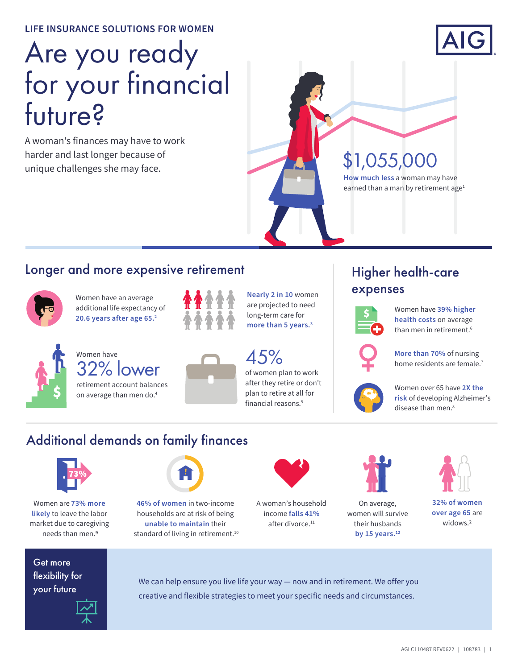#### **LIFE INSURANCE SOLUTIONS FOR WOMEN**

# Are you ready for your financial future?

A woman's finances may have to work harder and last longer because of unique challenges she may face.



# \$1,055,000

**How much less** a woman may have earned than a man by retirement age<sup>1</sup>

#### Longer and more expensive retirement



Women have an average additional life expectancy of **20.6 years after age 65.2**



Women have retirement account balances  $\frac{45\%}{32\%}$  lower  $\frac{45\%}{\%}$ 

on average than men do.4

**Nearly 2 in 10** women are projected to need long-term care for **more than 5 years.3**

of women plan to work after they retire or don't plan to retire at all for financial reasons.<sup>5</sup>

# Higher health-care expenses



Women have **39% higher health costs** on average than men in retirement.<sup>6</sup>



**More than 70%** of nursing home residents are female.<sup>7</sup>



Women over 65 have **2X the risk** of developing Alzheimer's disease than men.<sup>8</sup>

### Additional demands on family finances



Women are **73% more likely** to leave the labor market due to caregiving needs than men.9



**46% of women** in two-income households are at risk of being **unable to maintain** their standard of living in retirement.<sup>10</sup>



A woman's household income **falls 41%** after divorce.<sup>11</sup>



On average, women will survive their husbands **by 15 years.12**



**32% of women over age 65** are widows<sup>2</sup>

Get more flexibility for your future



We can help ensure you live life your way — now and in retirement. We offer you creative and flexible strategies to meet your specific needs and circumstances.